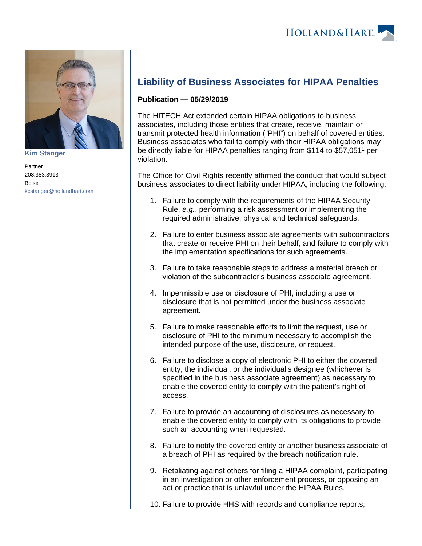

**[Kim Stanger](https://www.hollandhart.com/15954)**

Partner 208.383.3913 Boise [kcstanger@hollandhart.com](mailto:kcstanger@hollandhart.com)

## **Liability of Business Associates for HIPAA Penalties**

## **Publication — 05/29/2019**

The HITECH Act extended certain HIPAA obligations to business associates, including those entities that create, receive, maintain or transmit protected health information ("PHI") on behalf of covered entities. Business associates who fail to comply with their HIPAA obligations may be directly liable for HIPAA penalties ranging from \$114 to \$57,051<sup>1</sup> per violation.

The Office for Civil Rights recently affirmed the conduct that would subject business associates to direct liability under HIPAA, including the following:

- 1. Failure to comply with the requirements of the HIPAA Security Rule, e.g., performing a risk assessment or implementing the required administrative, physical and technical safeguards.
- 2. Failure to enter business associate agreements with subcontractors that create or receive PHI on their behalf, and failure to comply with the implementation specifications for such agreements.
- 3. Failure to take reasonable steps to address a material breach or violation of the subcontractor's business associate agreement.
- 4. Impermissible use or disclosure of PHI, including a use or disclosure that is not permitted under the business associate agreement.
- 5. Failure to make reasonable efforts to limit the request, use or disclosure of PHI to the minimum necessary to accomplish the intended purpose of the use, disclosure, or request.
- 6. Failure to disclose a copy of electronic PHI to either the covered entity, the individual, or the individual's designee (whichever is specified in the business associate agreement) as necessary to enable the covered entity to comply with the patient's right of access.
- 7. Failure to provide an accounting of disclosures as necessary to enable the covered entity to comply with its obligations to provide such an accounting when requested.
- 8. Failure to notify the covered entity or another business associate of a breach of PHI as required by the breach notification rule.
- 9. Retaliating against others for filing a HIPAA complaint, participating in an investigation or other enforcement process, or opposing an act or practice that is unlawful under the HIPAA Rules.
- 10. Failure to provide HHS with records and compliance reports;